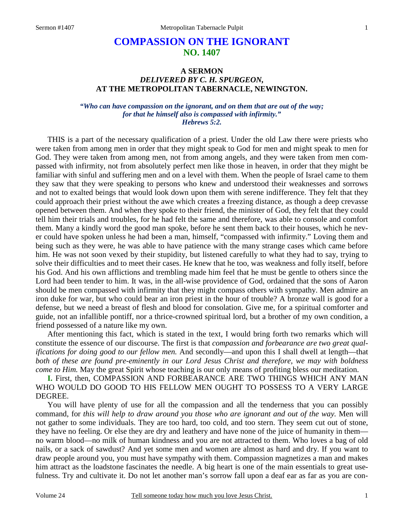# **COMPASSION ON THE IGNORANT NO. 1407**

## **A SERMON**  *DELIVERED BY C. H. SPURGEON,*  **AT THE METROPOLITAN TABERNACLE, NEWINGTON.**

*"Who can have compassion on the ignorant, and on them that are out of the way; for that he himself also is compassed with infirmity." Hebrews 5:2.* 

THIS is a part of the necessary qualification of a priest. Under the old Law there were priests who were taken from among men in order that they might speak to God for men and might speak to men for God. They were taken from among men, not from among angels, and they were taken from men compassed with infirmity, not from absolutely perfect men like those in heaven, in order that they might be familiar with sinful and suffering men and on a level with them. When the people of Israel came to them they saw that they were speaking to persons who knew and understood their weaknesses and sorrows and not to exalted beings that would look down upon them with serene indifference. They felt that they could approach their priest without the awe which creates a freezing distance, as though a deep crevasse opened between them. And when they spoke to their friend, the minister of God, they felt that they could tell him their trials and troubles, for he had felt the same and therefore, was able to console and comfort them. Many a kindly word the good man spoke, before he sent them back to their houses, which he never could have spoken unless he had been a man, himself, "compassed with infirmity." Loving them and being such as they were, he was able to have patience with the many strange cases which came before him. He was not soon vexed by their stupidity, but listened carefully to what they had to say, trying to solve their difficulties and to meet their cases. He knew that he too, was weakness and folly itself, before his God. And his own afflictions and trembling made him feel that he must be gentle to others since the Lord had been tender to him. It was, in the all-wise providence of God, ordained that the sons of Aaron should be men compassed with infirmity that they might compass others with sympathy. Men admire an iron duke for war, but who could bear an iron priest in the hour of trouble? A bronze wall is good for a defense, but we need a breast of flesh and blood for consolation. Give me, for a spiritual comforter and guide, not an infallible pontiff, nor a thrice-crowned spiritual lord, but a brother of my own condition, a friend possessed of a nature like my own.

After mentioning this fact, which is stated in the text, I would bring forth two remarks which will constitute the essence of our discourse. The first is that *compassion and forbearance are two great qualifications for doing good to our fellow men.* And secondly—and upon this I shall dwell at length—that *both of these are found pre-eminently in our Lord Jesus Christ and therefore, we may with boldness come to Him.* May the great Spirit whose teaching is our only means of profiting bless our meditation.

**I.** First, then, COMPASSION AND FORBEARANCE ARE TWO THINGS WHICH ANY MAN WHO WOULD DO GOOD TO HIS FELLOW MEN OUGHT TO POSSESS TO A VERY LARGE DEGREE.

You will have plenty of use for all the compassion and all the tenderness that you can possibly command, for *this will help to draw around you those who are ignorant and out of the way.* Men will not gather to some individuals. They are too hard, too cold, and too stern. They seem cut out of stone, they have no feeling. Or else they are dry and leathery and have none of the juice of humanity in them no warm blood—no milk of human kindness and you are not attracted to them. Who loves a bag of old nails, or a sack of sawdust? And yet some men and women are almost as hard and dry. If you want to draw people around you, you must have sympathy with them. Compassion magnetizes a man and makes him attract as the loadstone fascinates the needle. A big heart is one of the main essentials to great usefulness. Try and cultivate it. Do not let another man's sorrow fall upon a deaf ear as far as you are con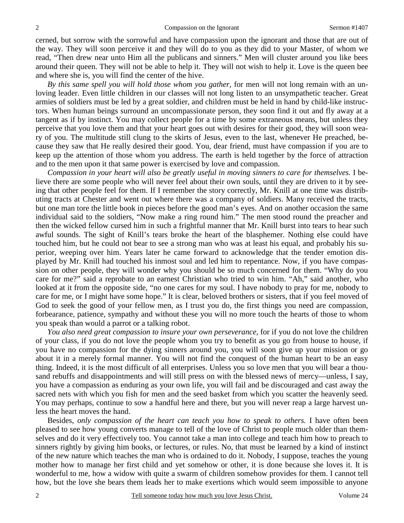cerned, but sorrow with the sorrowful and have compassion upon the ignorant and those that are out of the way. They will soon perceive it and they will do to you as they did to your Master, of whom we read, "Then drew near unto Him all the publicans and sinners." Men will cluster around you like bees around their queen. They will not be able to help it. They will not wish to help it. Love is the queen bee and where she is, you will find the center of the hive.

*By this same spell you will hold those whom you gather,* for men will not long remain with an unloving leader. Even little children in our classes will not long listen to an unsympathetic teacher. Great armies of soldiers must be led by a great soldier, and children must be held in hand by child-like instructors. When human beings surround an uncompassionate person, they soon find it out and fly away at a tangent as if by instinct. You may collect people for a time by some extraneous means, but unless they perceive that you love them and that your heart goes out with desires for their good, they will soon weary of you. The multitude still clung to the skirts of Jesus, even to the last, whenever He preached, because they saw that He really desired their good. You, dear friend, must have compassion if you are to keep up the attention of those whom you address. The earth is held together by the force of attraction and to the men upon it that same power is exercised by love and compassion.

*Compassion in your heart will also be greatly useful in moving sinners to care for themselves.* I believe there are some people who will never feel about their own souls, until they are driven to it by seeing that other people feel for them. If I remember the story correctly, Mr. Knill at one time was distributing tracts at Chester and went out where there was a company of soldiers. Many received the tracts, but one man tore the little book in pieces before the good man's eyes. And on another occasion the same individual said to the soldiers, "Now make a ring round him." The men stood round the preacher and then the wicked fellow cursed him in such a frightful manner that Mr. Knill burst into tears to hear such awful sounds. The sight of Knill's tears broke the heart of the blasphemer. Nothing else could have touched him, but he could not bear to see a strong man who was at least his equal, and probably his superior, weeping over him. Years later he came forward to acknowledge that the tender emotion displayed by Mr. Knill had touched his inmost soul and led him to repentance. Now, if you have compassion on other people, they will wonder why you should be so much concerned for them. "Why do you care for me?" said a reprobate to an earnest Christian who tried to win him. "Ah," said another, who looked at it from the opposite side, "no one cares for my soul. I have nobody to pray for me, nobody to care for me, or I might have some hope." It is clear, beloved brothers or sisters, that if you feel moved of God to seek the good of your fellow men, as I trust you do, the first things you need are compassion, forbearance, patience, sympathy and without these you will no more touch the hearts of those to whom you speak than would a parrot or a talking robot.

*You also need great compassion to insure your own perseverance,* for if you do not love the children of your class, if you do not love the people whom you try to benefit as you go from house to house, if you have no compassion for the dying sinners around you, you will soon give up your mission or go about it in a merely formal manner. You will not find the conquest of the human heart to be an easy thing. Indeed, it is the most difficult of all enterprises. Unless you so love men that you will bear a thousand rebuffs and disappointments and will still press on with the blessed news of mercy—unless, I say, you have a compassion as enduring as your own life, you will fail and be discouraged and cast away the sacred nets with which you fish for men and the seed basket from which you scatter the heavenly seed. You may perhaps, continue to sow a handful here and there, but you will never reap a large harvest unless the heart moves the hand.

Besides, *only compassion of the heart can teach you how to speak to others.* I have often been pleased to see how young converts manage to tell of the love of Christ to people much older than themselves and do it very effectively too. You cannot take a man into college and teach him how to preach to sinners rightly by giving him books, or lectures, or rules. No, that must be learned by a kind of instinct of the new nature which teaches the man who is ordained to do it. Nobody, I suppose, teaches the young mother how to manage her first child and yet somehow or other, it is done because she loves it. It is wonderful to me, how a widow with quite a swarm of children somehow provides for them. I cannot tell how, but the love she bears them leads her to make exertions which would seem impossible to anyone

2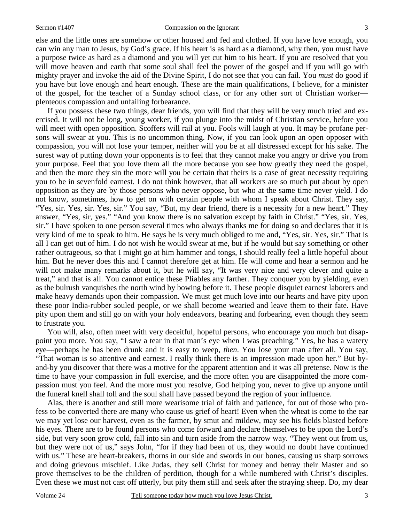else and the little ones are somehow or other housed and fed and clothed. If you have love enough, you can win any man to Jesus, by God's grace. If his heart is as hard as a diamond, why then, you must have a purpose twice as hard as a diamond and you will yet cut him to his heart. If you are resolved that you will move heaven and earth that some soul shall feel the power of the gospel and if you will go with mighty prayer and invoke the aid of the Divine Spirit, I do not see that you can fail. You *must* do good if you have but love enough and heart enough. These are the main qualifications, I believe, for a minister of the gospel, for the teacher of a Sunday school class, or for any other sort of Christian worker plenteous compassion and unfailing forbearance.

If you possess these two things, dear friends, you will find that they will be very much tried and exercised. It will not be long, young worker, if you plunge into the midst of Christian service, before you will meet with open opposition. Scoffers will rail at you. Fools will laugh at you. It may be profane persons will swear at you. This is no uncommon thing. Now, if you can look upon an open opposer with compassion, you will not lose your temper, neither will you be at all distressed except for his sake. The surest way of putting down your opponents is to feel that they cannot make you angry or drive you from your purpose. Feel that you love them all the more because you see how greatly they need the gospel, and then the more they sin the more will you be certain that theirs is a case of great necessity requiring you to be in sevenfold earnest. I do not think however, that all workers are so much put about by open opposition as they are by those persons who never oppose, but who at the same time never yield. I do not know, sometimes, how to get on with certain people with whom I speak about Christ. They say, "Yes, sir. Yes, sir. Yes, sir." You say, "But, my dear friend, there is a necessity for a new heart." They answer, "Yes, sir, yes." "And you know there is no salvation except by faith in Christ." "Yes, sir. Yes, sir." I have spoken to one person several times who always thanks me for doing so and declares that it is very kind of me to speak to him. He says he is very much obliged to me and, "Yes, sir. Yes, sir." That is all I can get out of him. I do not wish he would swear at me, but if he would but say something or other rather outrageous, so that I might go at him hammer and tongs, I should really feel a little hopeful about him. But he never does this and I cannot therefore get at him. He will come and hear a sermon and he will not make many remarks about it, but he will say, "It was very nice and very clever and quite a treat," and that is all. You cannot entice these Pliables any farther. They conquer you by yielding, even as the bulrush vanquishes the north wind by bowing before it. These people disquiet earnest laborers and make heavy demands upon their compassion. We must get much love into our hearts and have pity upon these poor India-rubber souled people, or we shall become wearied and leave them to their fate. Have pity upon them and still go on with your holy endeavors, bearing and forbearing, even though they seem to frustrate you.

You will, also, often meet with very deceitful, hopeful persons, who encourage you much but disappoint you more. You say, "I saw a tear in that man's eye when I was preaching." Yes, he has a watery eye—perhaps he has been drunk and it is easy to weep, *then*. You lose your man after all. You say, "That woman is so attentive and earnest. I really think there is an impression made upon her." But byand-by you discover that there was a motive for the apparent attention and it was all pretense. Now is the time to have your compassion in full exercise, and the more often you are disappointed the more compassion must you feel. And the more must you resolve, God helping you, never to give up anyone until the funeral knell shall toll and the soul shall have passed beyond the region of your influence.

Alas, there is another and still more wearisome trial of faith and patience, for out of those who profess to be converted there are many who cause us grief of heart! Even when the wheat is come to the ear we may yet lose our harvest, even as the farmer, by smut and mildew, may see his fields blasted before his eyes. There are to be found persons who come forward and declare themselves to be upon the Lord's side, but very soon grow cold, fall into sin and turn aside from the narrow way. "They went out from us, but they were not of us," says John, "for if they had been of us, they would no doubt have continued with us." These are heart-breakers, thorns in our side and swords in our bones, causing us sharp sorrows and doing grievous mischief. Like Judas, they sell Christ for money and betray their Master and so prove themselves to be the children of perdition, though for a while numbered with Christ's disciples. Even these we must not cast off utterly, but pity them still and seek after the straying sheep. Do, my dear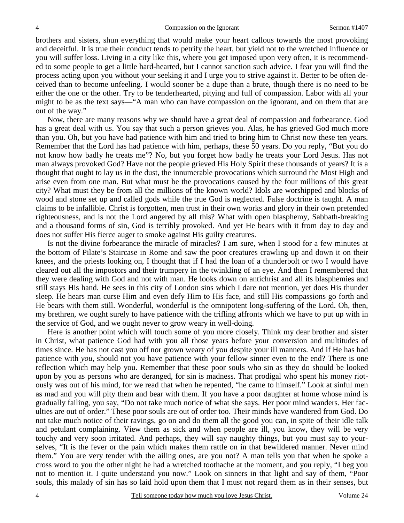brothers and sisters, shun everything that would make your heart callous towards the most provoking and deceitful. It is true their conduct tends to petrify the heart, but yield not to the wretched influence or you will suffer loss. Living in a city like this, where you get imposed upon very often, it is recommended to some people to get a little hard-hearted, but I cannot sanction such advice. I fear you will find the process acting upon you without your seeking it and I urge you to strive against it. Better to be often deceived than to become unfeeling. I would sooner be a dupe than a brute, though there is no need to be either the one or the other. Try to be tenderhearted, pitying and full of compassion. Labor with all your might to be as the text says—"A man who can have compassion on the ignorant, and on them that are out of the way."

Now, there are many reasons why we should have a great deal of compassion and forbearance. God has a great deal with us. You say that such a person grieves you. Alas, he has grieved God much more than you. Oh, but you have had patience with him and tried to bring him to Christ now these ten years. Remember that the Lord has had patience with him, perhaps, these 50 years. Do you reply, "But you do not know how badly he treats me"? No, but you forget how badly he treats your Lord Jesus. Has not man always provoked God? Have not the people grieved His Holy Spirit these thousands of years? It is a thought that ought to lay us in the dust, the innumerable provocations which surround the Most High and arise even from one man. But what must be the provocations caused by the four millions of this great city? What must they be from all the millions of the known world? Idols are worshipped and blocks of wood and stone set up and called gods while the true God is neglected. False doctrine is taught. A man claims to be infallible. Christ is forgotten, men trust in their own works and glory in their own pretended righteousness, and is not the Lord angered by all this? What with open blasphemy, Sabbath-breaking and a thousand forms of sin, God is terribly provoked. And yet He bears with it from day to day and does not suffer His fierce auger to smoke against His guilty creatures.

Is not the divine forbearance the miracle of miracles? I am sure, when I stood for a few minutes at the bottom of Pilate's Staircase in Rome and saw the poor creatures crawling up and down it on their knees, and the priests looking on, I thought that if I had the loan of a thunderbolt or two I would have cleared out all the impostors and their trumpery in the twinkling of an eye. And then I remembered that they were dealing with God and not with man. He looks down on antichrist and all its blasphemies and still stays His hand. He sees in this city of London sins which I dare not mention, yet does His thunder sleep. He hears man curse Him and even defy Him to His face, and still His compassions go forth and He bears with them still. Wonderful, wonderful is the omnipotent long-suffering of the Lord. Oh, then, my brethren, we ought surely to have patience with the trifling affronts which we have to put up with in the service of God, and we ought never to grow weary in well-doing.

Here is another point which will touch some of you more closely. Think my dear brother and sister in Christ, what patience God had with you all those years before your conversion and multitudes of times since. He has not cast you off nor grown weary of you despite your ill manners. And if He has had patience with *you,* should not you have patience with your fellow sinner even to the end? There is one reflection which may help you. Remember that these poor souls who sin as they do should be looked upon by you as persons who are deranged, for sin is madness. That prodigal who spent his money riotously was out of his mind, for we read that when he repented, "he came to himself." Look at sinful men as mad and you will pity them and bear with them. If you have a poor daughter at home whose mind is gradually failing, you say, "Do not take much notice of what she says. Her poor mind wanders. Her faculties are out of order." These poor souls are out of order too. Their minds have wandered from God. Do not take much notice of their ravings, go on and do them all the good you can, in spite of their idle talk and petulant complaining. View them as sick and when people are ill, you know, they will be very touchy and very soon irritated. And perhaps, they will say naughty things, but you must say to yourselves, "It is the fever or the pain which makes them rattle on in that bewildered manner. Never mind them." You are very tender with the ailing ones, are you not? A man tells you that when he spoke a cross word to you the other night he had a wretched toothache at the moment, and you reply, "I beg you not to mention it. I quite understand you now." Look on sinners in that light and say of them, "Poor souls, this malady of sin has so laid hold upon them that I must not regard them as in their senses, but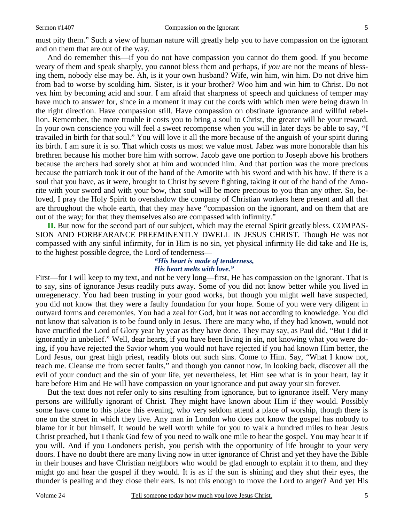must pity them." Such a view of human nature will greatly help you to have compassion on the ignorant and on them that are out of the way.

And do remember this—if you do not have compassion you cannot do them good. If you become weary of them and speak sharply, you cannot bless them and perhaps, if *you* are not the means of blessing them, nobody else may be. Ah, is it your own husband? Wife, win him, win him. Do not drive him from bad to worse by scolding him. Sister, is it your brother? Woo him and win him to Christ. Do not vex him by becoming acid and sour. I am afraid that sharpness of speech and quickness of temper may have much to answer for, since in a moment it may cut the cords with which men were being drawn in the right direction. Have compassion still. Have compassion on obstinate ignorance and willful rebellion. Remember, the more trouble it costs you to bring a soul to Christ, the greater will be your reward. In your own conscience you will feel a sweet recompense when you will in later days be able to say, "I travailed in birth for that soul." You will love it all the more because of the anguish of your spirit during its birth. I am sure it is so. That which costs us most we value most. Jabez was more honorable than his brethren because his mother bore him with sorrow. Jacob gave one portion to Joseph above his brothers because the archers had sorely shot at him and wounded him. And that portion was the more precious because the patriarch took it out of the hand of the Amorite with his sword and with his bow. If there is a soul that you have, as it were, brought to Christ by severe fighting, taking it out of the hand of the Amorite with your sword and with your bow, that soul will be more precious to you than any other. So, beloved, I pray the Holy Spirit to overshadow the company of Christian workers here present and all that are throughout the whole earth, that they may have "compassion on the ignorant, and on them that are out of the way; for that they themselves also are compassed with infirmity."

**II.** But now for the second part of our subject, which may the eternal Spirit greatly bless. COMPAS-SION AND FORBEARANCE PREEMINENTLY DWELL IN JESUS CHRIST. Though He was not compassed with any sinful infirmity, for in Him is no sin, yet physical infirmity He did take and He is, to the highest possible degree, the Lord of tenderness—

## *"His heart is made of tenderness, His heart melts with love."*

First—for I will keep to my text, and not be very long—first, He has compassion on the ignorant. That is to say, sins of ignorance Jesus readily puts away. Some of you did not know better while you lived in unregeneracy. You had been trusting in your good works, but though you might well have suspected, you did not know that they were a faulty foundation for your hope. Some of you were very diligent in outward forms and ceremonies. You had a zeal for God, but it was not according to knowledge. You did not know that salvation is to be found only in Jesus. There are many who, if they had known, would not have crucified the Lord of Glory year by year as they have done. They may say, as Paul did, "But I did it ignorantly in unbelief." Well, dear hearts, if you have been living in sin, not knowing what you were doing, if you have rejected the Savior whom you would not have rejected if you had known Him better, the Lord Jesus, our great high priest, readily blots out such sins. Come to Him. Say, "What I know not, teach me. Cleanse me from secret faults," and though you cannot now, in looking back, discover all the evil of your conduct and the sin of your life, yet nevertheless, let Him see what is in your heart, lay it bare before Him and He will have compassion on your ignorance and put away your sin forever.

But the text does not refer only to sins resulting from ignorance, but to ignorance itself. Very many persons are willfully ignorant of Christ. They might have known about Him if they would. Possibly some have come to this place this evening, who very seldom attend a place of worship, though there is one on the street in which they live. Any man in London who does not know the gospel has nobody to blame for it but himself. It would be well worth while for you to walk a hundred miles to hear Jesus Christ preached, but I thank God few of you need to walk one mile to hear the gospel. You may hear it if you will. And if you Londoners perish, you perish with the opportunity of life brought to your very doors. I have no doubt there are many living now in utter ignorance of Christ and yet they have the Bible in their houses and have Christian neighbors who would be glad enough to explain it to them, and they might go and hear the gospel if they would. It is as if the sun is shining and they shut their eyes, the thunder is pealing and they close their ears. Is not this enough to move the Lord to anger? And yet His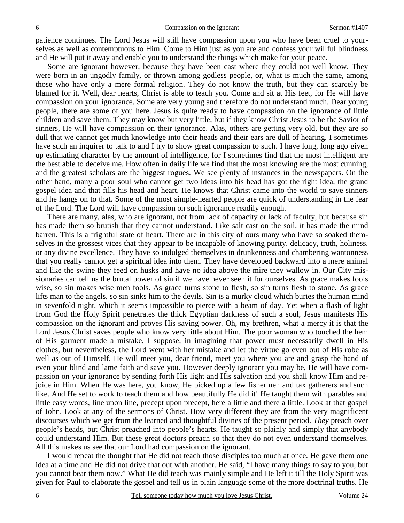patience continues. The Lord Jesus will still have compassion upon you who have been cruel to yourselves as well as contemptuous to Him. Come to Him just as you are and confess your willful blindness and He will put it away and enable you to understand the things which make for your peace.

Some are ignorant however, because they have been cast where they could not well know. They were born in an ungodly family, or thrown among godless people, or, what is much the same, among those who have only a mere formal religion. They do not know the truth, but they can scarcely be blamed for it. Well, dear hearts, Christ is able to teach you. Come and sit at His feet, for He will have compassion on your ignorance. Some are very young and therefore do not understand much. Dear young people, there are some of you here. Jesus is quite ready to have compassion on the ignorance of little children and save them. They may know but very little, but if they know Christ Jesus to be the Savior of sinners, He will have compassion on their ignorance. Alas, others are getting very old, but they are so dull that we cannot get much knowledge into their heads and their ears are dull of hearing. I sometimes have such an inquirer to talk to and I try to show great compassion to such. I have long, long ago given up estimating character by the amount of intelligence, for I sometimes find that the most intelligent are the best able to deceive me. How often in daily life we find that the most knowing are the most cunning, and the greatest scholars are the biggest rogues. We see plenty of instances in the newspapers. On the other hand, many a poor soul who cannot get two ideas into his head has got the right idea, the grand gospel idea and that fills his head and heart. He knows that Christ came into the world to save sinners and he hangs on to that. Some of the most simple-hearted people are quick of understanding in the fear of the Lord. The Lord will have compassion on such ignorance readily enough.

There are many, alas, who are ignorant, not from lack of capacity or lack of faculty, but because sin has made them so brutish that they cannot understand. Like salt cast on the soil, it has made the mind barren. This is a frightful state of heart. There are in this city of ours many who have so soaked themselves in the grossest vices that they appear to be incapable of knowing purity, delicacy, truth, holiness, or any divine excellence. They have so indulged themselves in drunkenness and chambering wantonness that you really cannot get a spiritual idea into them. They have developed backward into a mere animal and like the swine they feed on husks and have no idea above the mire they wallow in. Our City missionaries can tell us the brutal power of sin if we have never seen it for ourselves. As grace makes fools wise, so sin makes wise men fools. As grace turns stone to flesh, so sin turns flesh to stone. As grace lifts man to the angels, so sin sinks him to the devils. Sin is a murky cloud which buries the human mind in sevenfold night, which it seems impossible to pierce with a beam of day. Yet when a flash of light from God the Holy Spirit penetrates the thick Egyptian darkness of such a soul, Jesus manifests His compassion on the ignorant and proves His saving power. Oh, my brethren, what a mercy it is that the Lord Jesus Christ saves people who know very little about Him. The poor woman who touched the hem of His garment made a mistake, I suppose, in imagining that power must necessarily dwell in His clothes, but nevertheless, the Lord went with her mistake and let the virtue go even out of His robe as well as out of Himself. He will meet you, dear friend, meet you where you are and grasp the hand of even your blind and lame faith and save you. However deeply ignorant you may be, He will have compassion on your ignorance by sending forth His light and His salvation and you shall know Him and rejoice in Him. When He was here, you know, He picked up a few fishermen and tax gatherers and such like. And He set to work to teach them and how beautifully He did it! He taught them with parables and little easy words, line upon line, precept upon precept, here a little and there a little. Look at that gospel of John. Look at any of the sermons of Christ. How very different they are from the very magnificent discourses which we get from the learned and thoughtful divines of the present period. *They* preach over people's heads, but Christ preached into people's hearts. He taught so plainly and simply that anybody could understand Him. But these great doctors preach so that they do not even understand themselves. All this makes us see that our Lord had compassion on the ignorant.

I would repeat the thought that He did not teach those disciples too much at once. He gave them one idea at a time and He did not drive that out with another. He said, "I have many things to say to you, but you cannot bear them now." What He did teach was mainly simple and He left it till the Holy Spirit was given for Paul to elaborate the gospel and tell us in plain language some of the more doctrinal truths. He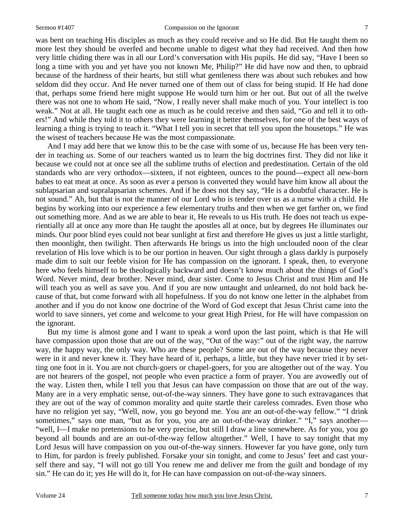was bent on teaching His disciples as much as they could receive and so He did. But He taught them no more lest they should be overfed and become unable to digest what they had received. And then how very little chiding there was in all our Lord's conversation with His pupils. He did say, "Have I been so long a time with you and yet have you not known Me, Philip?" He did have now and then, to upbraid because of the hardness of their hearts, but still what gentleness there was about such rebukes and how seldom did they occur. And He never turned one of them out of class for being stupid. If He had done that, perhaps some friend here might suppose He would turn him or her out. But out of all the twelve there was not one to whom He said, "Now, I really never shall make much of you. Your intellect is too weak." Not at all. He taught each one as much as he could receive and then said, "Go and tell it to others!" And while they told it to others they were learning it better themselves, for one of the best ways of learning a thing is trying to teach it. "What I tell you in secret that tell you upon the housetops." He was

the wisest of teachers because He was the most compassionate. And I may add here that we know this to be the case with some of us, because He has been very tender in teaching *us*. Some of our teachers wanted us to learn the big doctrines first. They did not like it because we could not at once see all the sublime truths of election and predestination. Certain of the old standards who are very orthodox—sixteen, if not eighteen, ounces to the pound—expect all new-born babes to eat meat at once. As soon as ever a person is converted they would have him know all about the sublapsarian and supralapsarian schemes. And if he does not they say, "He is a doubtful character. He is not sound." Ah, but that is not the manner of our Lord who is tender over us as a nurse with a child. He begins by working into our experience a few elementary truths and then when we get farther on, we find out something more. And as we are able to bear it, He reveals to us His truth. He does not teach us experientially all at once any more than He taught the apostles all at once, but by degrees He illuminates our minds. Our poor blind eyes could not bear sunlight at first and therefore He gives us just a little starlight, then moonlight, then twilight. Then afterwards He brings us into the high unclouded noon of the clear revelation of His love which is to be our portion in heaven. Our sight through a glass darkly is purposely made dim to suit our feeble vision for He has compassion on the ignorant. I speak, then, to everyone here who feels himself to be theologically backward and doesn't know much about the things of God's Word. Never mind, dear brother. Never mind, dear sister. Come to Jesus Christ and trust Him and He will teach you as well as save you. And if you are now untaught and unlearned, do not hold back because of that, but come forward with all hopefulness. If you do not know one letter in the alphabet from another and if you do not know one doctrine of the Word of God except that Jesus Christ came into the world to save sinners, yet come and welcome to your great High Priest, for He will have compassion on the ignorant.

But my time is almost gone and I want to speak a word upon the last point, which is that He will have compassion upon those that are out of the way, "Out of the way:" out of the right way, the narrow way, the happy way, the only way. Who are these people? Some are out of the way because they never were in it and never knew it. They have heard of it, perhaps, a little, but they have never tried it by setting one foot in it. You are not church-goers or chapel-goers, for you are altogether out of the way. You are not hearers of the gospel, not people who even practice a form of prayer. You are avowedly out of the way. Listen then, while I tell you that Jesus can have compassion on those that are out of the way. Many are in a very emphatic sense, out-of-the-way sinners. They have gone to such extravagances that they are out of the way of common morality and quite startle their careless comrades. Even those who have no religion yet say, "Well, now, you go beyond me. You are an out-of-the-way fellow." "I drink sometimes," says one man, "but as for you, you are an out-of-the-way drinker." "I," says another— "well, I—I make no pretensions to be very precise, but still I draw a line somewhere. As for you, you go beyond all bounds and are an out-of-the-way fellow altogether." Well, I have to say tonight that my Lord Jesus will have compassion on you out-of-the-way sinners. However far you have gone, only turn to Him, for pardon is freely published. Forsake your sin tonight, and come to Jesus' feet and cast yourself there and say, "I will not go till You renew me and deliver me from the guilt and bondage of my sin." He can do it; yes He will do it, for He can have compassion on out-of-the-way sinners.